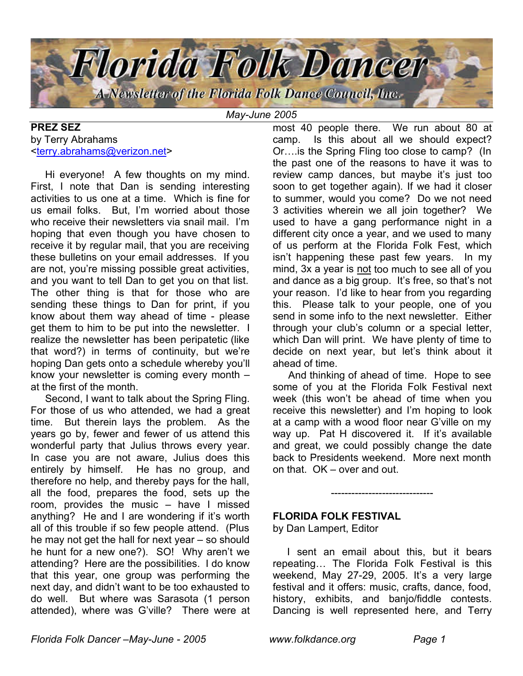

*May-June 2005*

#### **PREZ SEZ** by Terry Abrahams <terry.abrahams@verizon.net>

 Hi everyone! A few thoughts on my mind. First, I note that Dan is sending interesting activities to us one at a time. Which is fine for us email folks. But, I'm worried about those who receive their newsletters via snail mail. I'm hoping that even though you have chosen to receive it by regular mail, that you are receiving these bulletins on your email addresses. If you are not, you're missing possible great activities, and you want to tell Dan to get you on that list. The other thing is that for those who are sending these things to Dan for print, if you know about them way ahead of time - please get them to him to be put into the newsletter. I realize the newsletter has been peripatetic (like that word?) in terms of continuity, but we're hoping Dan gets onto a schedule whereby you'll know your newsletter is coming every month – at the first of the month.

 Second, I want to talk about the Spring Fling. For those of us who attended, we had a great time. But therein lays the problem. As the years go by, fewer and fewer of us attend this wonderful party that Julius throws every year. In case you are not aware, Julius does this entirely by himself. He has no group, and therefore no help, and thereby pays for the hall, all the food, prepares the food, sets up the room, provides the music – have I missed anything? He and I are wondering if it's worth all of this trouble if so few people attend. (Plus he may not get the hall for next year – so should he hunt for a new one?). SO! Why aren't we attending? Here are the possibilities. I do know that this year, one group was performing the next day, and didn't want to be too exhausted to do well. But where was Sarasota (1 person attended), where was G'ville? There were at most 40 people there. We run about 80 at camp. Is this about all we should expect? Or….is the Spring Fling too close to camp? (In the past one of the reasons to have it was to review camp dances, but maybe it's just too soon to get together again). If we had it closer to summer, would you come? Do we not need 3 activities wherein we all join together? We used to have a gang performance night in a different city once a year, and we used to many of us perform at the Florida Folk Fest, which isn't happening these past few years. In my mind, 3x a year is not too much to see all of you and dance as a big group. It's free, so that's not your reason. I'd like to hear from you regarding this. Please talk to your people, one of you send in some info to the next newsletter. Either through your club's column or a special letter, which Dan will print. We have plenty of time to decide on next year, but let's think about it ahead of time.

 And thinking of ahead of time. Hope to see some of you at the Florida Folk Festival next week (this won't be ahead of time when you receive this newsletter) and I'm hoping to look at a camp with a wood floor near G'ville on my way up. Pat H discovered it. If it's available and great, we could possibly change the date back to Presidents weekend. More next month on that. OK – over and out.

------------------------------

#### **FLORIDA FOLK FESTIVAL**

by Dan Lampert, Editor

 I sent an email about this, but it bears repeating… The Florida Folk Festival is this weekend, May 27-29, 2005. It's a very large festival and it offers: music, crafts, dance, food, history, exhibits, and banjo/fiddle contests. Dancing is well represented here, and Terry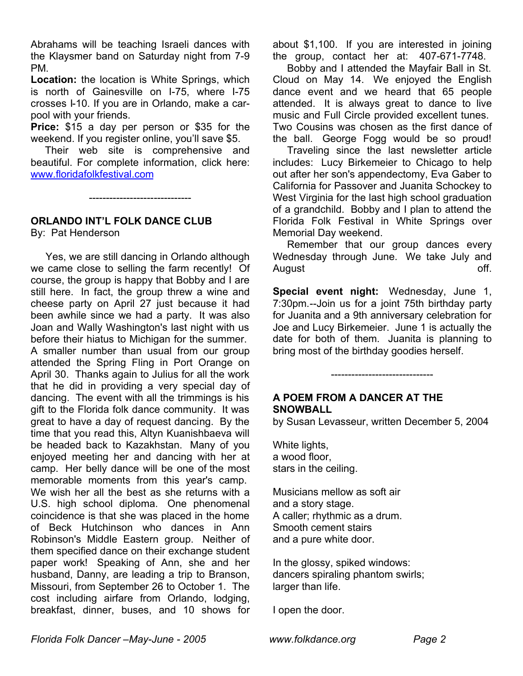Abrahams will be teaching Israeli dances with the Klaysmer band on Saturday night from 7-9 PM.

**Location:** the location is White Springs, which is north of Gainesville on I-75, where I-75 crosses I-10. If you are in Orlando, make a carpool with your friends.

**Price:** \$15 a day per person or \$35 for the weekend. If you register online, you'll save \$5.

 Their web site is comprehensive and beautiful. For complete information, click here: www.floridafolkfestival.com

------------------------------

## **ORLANDO INT'L FOLK DANCE CLUB**

By: Pat Henderson

 Yes, we are still dancing in Orlando although we came close to selling the farm recently! Of course, the group is happy that Bobby and I are still here. In fact, the group threw a wine and cheese party on April 27 just because it had been awhile since we had a party. It was also Joan and Wally Washington's last night with us before their hiatus to Michigan for the summer. A smaller number than usual from our group attended the Spring Fling in Port Orange on April 30. Thanks again to Julius for all the work that he did in providing a very special day of dancing. The event with all the trimmings is his gift to the Florida folk dance community. It was great to have a day of request dancing. By the time that you read this, Altyn Kuanishbaeva will be headed back to Kazakhstan. Many of you enjoyed meeting her and dancing with her at camp. Her belly dance will be one of the most memorable moments from this year's camp. We wish her all the best as she returns with a U.S. high school diploma. One phenomenal coincidence is that she was placed in the home of Beck Hutchinson who dances in Ann Robinson's Middle Eastern group. Neither of them specified dance on their exchange student paper work! Speaking of Ann, she and her husband, Danny, are leading a trip to Branson, Missouri, from September 26 to October 1. The cost including airfare from Orlando, lodging, breakfast, dinner, buses, and 10 shows for

about \$1,100. If you are interested in joining the group, contact her at: 407-671-7748.

 Bobby and I attended the Mayfair Ball in St. Cloud on May 14. We enjoyed the English dance event and we heard that 65 people attended. It is always great to dance to live music and Full Circle provided excellent tunes. Two Cousins was chosen as the first dance of the ball. George Fogg would be so proud!

 Traveling since the last newsletter article includes: Lucy Birkemeier to Chicago to help out after her son's appendectomy, Eva Gaber to California for Passover and Juanita Schockey to West Virginia for the last high school graduation of a grandchild. Bobby and I plan to attend the Florida Folk Festival in White Springs over Memorial Day weekend.

 Remember that our group dances every Wednesday through June. We take July and August **Contract Contract Contract Contract Contract Contract Contract Contract Contract Contract Contract Contract Contract Contract Contract Contract Contract Contract Contract Contract Contract Contract Contract Contrac** 

**Special event night:** Wednesday, June 1, 7:30pm.--Join us for a joint 75th birthday party for Juanita and a 9th anniversary celebration for Joe and Lucy Birkemeier. June 1 is actually the date for both of them. Juanita is planning to bring most of the birthday goodies herself.

# **A POEM FROM A DANCER AT THE SNOWBALL**

by Susan Levasseur, written December 5, 2004

------------------------------

White lights, a wood floor, stars in the ceiling.

Musicians mellow as soft air and a story stage. A caller; rhythmic as a drum. Smooth cement stairs and a pure white door.

In the glossy, spiked windows: dancers spiraling phantom swirls; larger than life.

I open the door.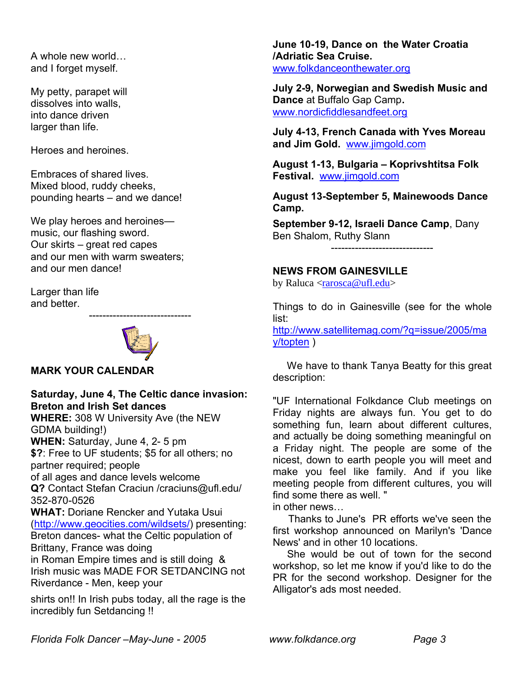A whole new world… and I forget myself.

My petty, parapet will dissolves into walls, into dance driven larger than life.

Heroes and heroines.

Embraces of shared lives. Mixed blood, ruddy cheeks, pounding hearts – and we dance!

We play heroes and heroines music, our flashing sword. Our skirts – great red capes and our men with warm sweaters; and our men dance!

Larger than life and better.



------------------------------

## **MARK YOUR CALENDAR**

# **Saturday, June 4, The Celtic dance invasion: Breton and Irish Set dances**

**WHERE:** 308 W University Ave (the NEW GDMA building!) **WHEN:** Saturday, June 4, 2- 5 pm **\$?**: Free to UF students; \$5 for all others; no partner required; people of all ages and dance levels welcome **Q?** Contact Stefan Craciun /craciuns@ufl.edu/ 352-870-0526 **WHAT:** Doriane Rencker and Yutaka Usui (http://www.geocities.com/wildsets/) presenting: Breton dances- what the Celtic population of Brittany, France was doing in Roman Empire times and is still doing & Irish music was MADE FOR SETDANCING not Riverdance - Men, keep your

shirts on!! In Irish pubs today, all the rage is the incredibly fun Setdancing !!

**June 10-19, Dance on the Water Croatia /Adriatic Sea Cruise.**  www.folkdanceonthewater.org

**July 2-9, Norwegian and Swedish Music and Dance** at Buffalo Gap Camp**.** www.nordicfiddlesandfeet.org

**July 4-13, French Canada with Yves Moreau and Jim Gold.** www.jimgold.com

**August 1-13, Bulgaria – Koprivshtitsa Folk Festival.** www.jimgold.com

**August 13-September 5, Mainewoods Dance Camp.**

**September 9-12, Israeli Dance Camp**, Dany Ben Shalom, Ruthy Slann

------------------------------

## **NEWS FROM GAINESVILLE**

by Raluca <rarosca@ufl.edu>

Things to do in Gainesville (see for the whole list:

http://www.satellitemag.com/?q=issue/2005/ma y/topten )

 We have to thank Tanya Beatty for this great description:

"UF International Folkdance Club meetings on Friday nights are always fun. You get to do something fun, learn about different cultures, and actually be doing something meaningful on a Friday night. The people are some of the nicest, down to earth people you will meet and make you feel like family. And if you like meeting people from different cultures, you will find some there as well. "

in other news…

 Thanks to June's PR efforts we've seen the first workshop announced on Marilyn's 'Dance News' and in other 10 locations.

 She would be out of town for the second workshop, so let me know if you'd like to do the PR for the second workshop. Designer for the Alligator's ads most needed.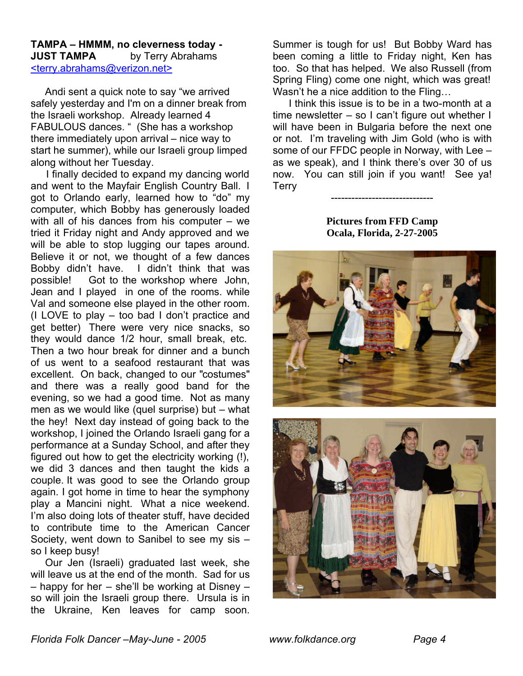#### **TAMPA – HMMM, no cleverness today - JUST TAMPA** by Terry Abrahams <terry.abrahams@verizon.net>

 Andi sent a quick note to say "we arrived safely yesterday and I'm on a dinner break from the Israeli workshop. Already learned 4 FABULOUS dances. " (She has a workshop there immediately upon arrival – nice way to start he summer), while our Israeli group limped along without her Tuesday.

 I finally decided to expand my dancing world and went to the Mayfair English Country Ball. I got to Orlando early, learned how to "do" my computer, which Bobby has generously loaded with all of his dances from his computer – we tried it Friday night and Andy approved and we will be able to stop lugging our tapes around. Believe it or not, we thought of a few dances Bobby didn't have. I didn't think that was possible! Got to the workshop where John, Jean and I played in one of the rooms. while Val and someone else played in the other room. (I LOVE to play – too bad I don't practice and get better) There were very nice snacks, so they would dance 1/2 hour, small break, etc. Then a two hour break for dinner and a bunch of us went to a seafood restaurant that was excellent. On back, changed to our "costumes" and there was a really good band for the evening, so we had a good time. Not as many men as we would like (quel surprise) but – what the hey! Next day instead of going back to the workshop, I joined the Orlando Israeli gang for a performance at a Sunday School, and after they figured out how to get the electricity working (!), we did 3 dances and then taught the kids a couple. It was good to see the Orlando group again. I got home in time to hear the symphony play a Mancini night. What a nice weekend. I'm also doing lots of theater stuff, have decided to contribute time to the American Cancer Society, went down to Sanibel to see my sis – so I keep busy!

 Our Jen (Israeli) graduated last week, she will leave us at the end of the month. Sad for us – happy for her – she'll be working at Disney – so will join the Israeli group there. Ursula is in the Ukraine, Ken leaves for camp soon.

Summer is tough for us! But Bobby Ward has been coming a little to Friday night, Ken has too. So that has helped. We also Russell (from Spring Fling) come one night, which was great! Wasn't he a nice addition to the Fling…

 I think this issue is to be in a two-month at a time newsletter – so I can't figure out whether I will have been in Bulgaria before the next one or not. I'm traveling with Jim Gold (who is with some of our FFDC people in Norway, with Lee – as we speak), and I think there's over 30 of us now. You can still join if you want! See ya! Terry

> **Pictures from FFD Camp Ocala, Florida, 2-27-2005**

------------------------------



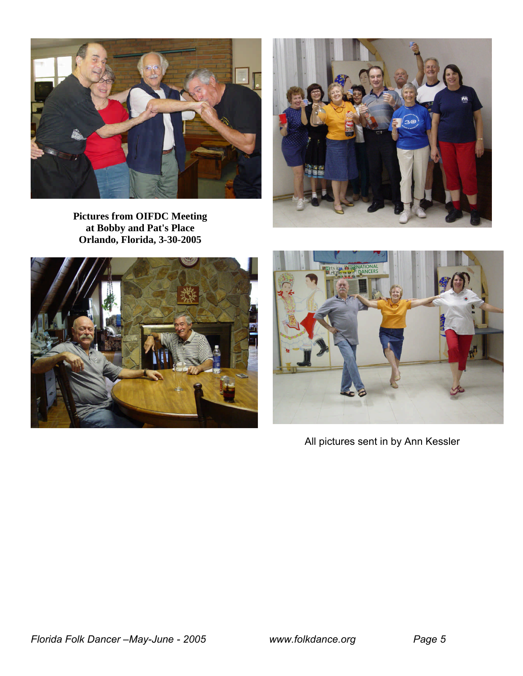









All pictures sent in by Ann Kessler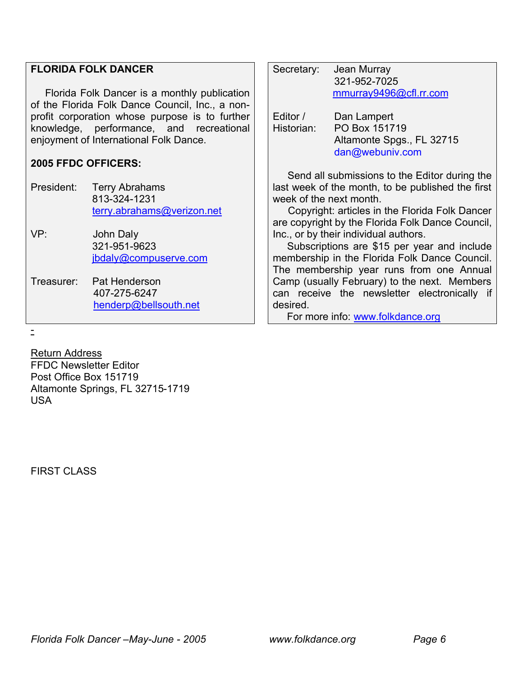#### **FLORIDA FOLK DANCER**

 Florida Folk Dancer is a monthly publication of the Florida Folk Dance Council, Inc., a nonprofit corporation whose purpose is to further knowledge, performance, and recreational enjoyment of International Folk Dance.

#### **2005 FFDC OFFICERS:**

President: Terry Abrahams 813-324-1231 terry.abrahams@verizon.net VP: John Daly 321-951-9623 jbdaly@compuserve.com Treasurer: Pat Henderson 407-275-6247 henderp@bellsouth.net

|  | Secretary:                                   | Jean Murray<br>321-952-7025<br>mmurray9496@cfl.rr.com                        |  |
|--|----------------------------------------------|------------------------------------------------------------------------------|--|
|  | Editor /<br>Historian:                       | Dan Lampert<br>PO Box 151719<br>Altamonte Spgs., FL 32715<br>dan@webuniv.com |  |
|  | Send all submissions to the Editor during th |                                                                              |  |

 Send all submissions to the Editor during the last week of the month, to be published the first week of the next month.

 Copyright: articles in the Florida Folk Dancer are copyright by the Florida Folk Dance Council, Inc., or by their individual authors.

 Subscriptions are \$15 per year and include membership in the Florida Folk Dance Council. The membership year runs from one Annual Camp (usually February) to the next. Members can receive the newsletter electronically if desired.

For more info: www.folkdance.org

-

Return Address FFDC Newsletter Editor Post Office Box 151719 Altamonte Springs, FL 32715-1719 USA

**FIRST CLASS**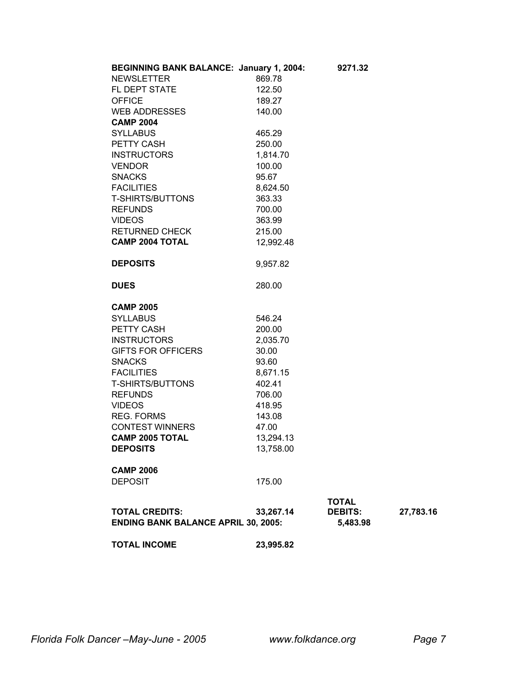| <b>BEGINNING BANK BALANCE: January 1, 2004:</b>                     |           | 9271.32                    |           |
|---------------------------------------------------------------------|-----------|----------------------------|-----------|
| <b>NEWSLETTER</b>                                                   | 869.78    |                            |           |
| FL DEPT STATE                                                       | 122.50    |                            |           |
| <b>OFFICE</b>                                                       | 189.27    |                            |           |
| <b>WEB ADDRESSES</b>                                                | 140.00    |                            |           |
| <b>CAMP 2004</b>                                                    |           |                            |           |
| <b>SYLLABUS</b>                                                     | 465.29    |                            |           |
| PETTY CASH                                                          | 250.00    |                            |           |
| <b>INSTRUCTORS</b>                                                  | 1,814.70  |                            |           |
| <b>VENDOR</b>                                                       | 100.00    |                            |           |
| <b>SNACKS</b>                                                       | 95.67     |                            |           |
| <b>FACILITIES</b>                                                   | 8,624.50  |                            |           |
| <b>T-SHIRTS/BUTTONS</b>                                             | 363.33    |                            |           |
| <b>REFUNDS</b>                                                      | 700.00    |                            |           |
| <b>VIDEOS</b>                                                       | 363.99    |                            |           |
| <b>RETURNED CHECK</b>                                               | 215.00    |                            |           |
| <b>CAMP 2004 TOTAL</b>                                              | 12,992.48 |                            |           |
| <b>DEPOSITS</b>                                                     | 9,957.82  |                            |           |
| <b>DUES</b>                                                         | 280.00    |                            |           |
| <b>CAMP 2005</b>                                                    |           |                            |           |
| <b>SYLLABUS</b>                                                     | 546.24    |                            |           |
| PETTY CASH                                                          | 200.00    |                            |           |
| <b>INSTRUCTORS</b>                                                  | 2,035.70  |                            |           |
| <b>GIFTS FOR OFFICERS</b>                                           | 30.00     |                            |           |
| <b>SNACKS</b>                                                       | 93.60     |                            |           |
| <b>FACILITIES</b>                                                   | 8,671.15  |                            |           |
| <b>T-SHIRTS/BUTTONS</b>                                             | 402.41    |                            |           |
| <b>REFUNDS</b>                                                      | 706.00    |                            |           |
| <b>VIDEOS</b>                                                       | 418.95    |                            |           |
| <b>REG. FORMS</b>                                                   | 143.08    |                            |           |
| <b>CONTEST WINNERS</b>                                              | 47.00     |                            |           |
| <b>CAMP 2005 TOTAL</b>                                              | 13,294.13 |                            |           |
| <b>DEPOSITS</b>                                                     | 13,758.00 |                            |           |
| <b>CAMP 2006</b>                                                    |           |                            |           |
| <b>DEPOSIT</b>                                                      | 175.00    |                            |           |
|                                                                     |           | <b>TOTAL</b>               |           |
| <b>TOTAL CREDITS:</b><br><b>ENDING BANK BALANCE APRIL 30, 2005:</b> | 33,267.14 | <b>DEBITS:</b><br>5,483.98 | 27,783.16 |
|                                                                     |           |                            |           |
| <b>TOTAL INCOME</b>                                                 | 23,995.82 |                            |           |